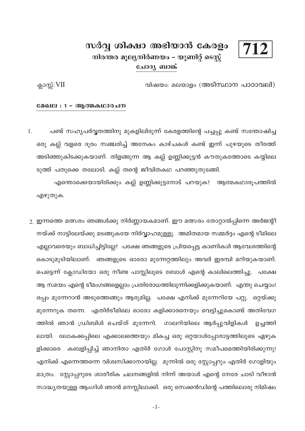# 712

# സർവ്വ ശിക്ഷാ അഭിയാൻ കേരളം നിരന്തര മൂല്യനിർണയം – യൂണിറ്റ് ടെസ്റ്റ് ചോദൃ ബാങ്ക്

വിഷയം: മലയാളം (അടിസ്ഥാന പാഠാവലി)

ക്ലാസ്സ്:  $VII$ 

#### മേഖല : 1 - ആത്മകഥാരചന

പണ്ട് സഹൃപർവ്വതത്തിനു മുകളിലിരുന്ന് കേരളത്തിന്റെ പച്ചപ്പു കണ്ട് സന്തോഷിച്ച 1. ഒരു കല്ല് വളരെ ദൂരം സഞ്ചരിച്ച് അനേകം കാഴ്ചകൾ കണ്ട് ഇന്ന് പുഴയുടെ തീരത്ത് അടിഞ്ഞുകിടക്കുകയാണ്. തിളങ്ങുന്ന ആ കല്ല് ഉണ്ണിക്കുട്ടൻ കൗതുകത്തോടെ കയ്യിലെ ടുത്ത് പതുക്കെ തലോടി. കല്ല് തന്റെ ജീവിതകഥ പറഞ്ഞുതുടങ്ങി.

എന്തൊക്കെയായിരിക്കും കല്ല് ഉണ്ണിക്കുട്ടനോട് പറയുക? ആത്മകഥാരൂപത്തിൽ എഴുതുക.

 $\,$ 2. ഇന്നത്തെ മത്സരം ഞങ്ങൾക്കു നിർണ്ണായകമാണ്. ഈ മത്സരം തോറ്റാൽപ്പിന്നെ അർജന്റീ നയ്ക്ക് നാട്ടിലേയ്ക്കു മടങ്ങുകയേ നിർവ്വാഹമുള്ളൂ. അമിതമായ സമ്മർദ്ദം എന്റെ ടീമിലെ എല്ലാവരെയും ബാധിച്ചിട്ടില്ലേ? പക്ഷേ ഞങ്ങളുടെ പ്രിയപ്പെട്ട കാണികൾ ആവേശത്തിന്റെ കൊടുമുടിയിലാണ്. ഞങ്ങളുടെ ഓരോ മുന്നേറ്റത്തിലും അവർ ഇരമ്പി മറിയുകയാണ്. പെട്ടെന്ന് ക്ലോഡിയോ ഒരു നീണ്ട പാസ്സിലൂടെ ബോൾ എന്റെ കാലിലെത്തിച്ചു. പക്ഷേ ആ സമയം എന്റെ ടീമംഗങ്ങളെല്ലാം പ്രതിരോധത്തിലൂന്നിക്കളിക്കുകയാണ്. എന്തു ചെയ്യാം! ഒപ്പം മുന്നേറാൻ അടുത്തെങ്ങും ആരുമില്ല. പക്ഷേ എനിക്ക് മുന്നേറിയേ പറ്റൂ. ഒറ്റയ്ക്കു മുന്നേറുക തന്നെ. എതിർടീമിലെ ഓരോ കളിക്കാരനെയും വെട്ടിച്ചുകൊണ്ട് അതിവേഗ ത്തിൽ ഞാൻ ഡ്രിബിൾ ചെയ്ത് മുന്നേറി. ഗാലറിയിലെ ആർപ്പുവിളികൾ ഉച്ചത്തി ലായി. ലോകക്കപ്പിലെ എക്കാലത്തെയും മികച്ച ഒരു ഒറ്റയാൾപ്പോരാട്ടത്തിലൂടെ ഏഴുക കബളിപ്പിച്ച് ഞാനിതാ എതിർ ഗോൾ പോസ്റ്റിനു സമീപമെത്തിയിരിക്കുന്നു! ളിക്കാരെ എനിക്ക് എന്നെത്തന്നെ വിശ്വസിക്കാനായില്ല. മുന്നിൽ ഒരു സ്റ്റോപ്പറും എതിർ ഗോളിയും മാത്രം. സ്റ്റോപ്പറുടെ ശാരീരിക ചലനങ്ങളിൽ നിന്ന് അയാൾ എന്റെ നേരേ ചാടി വീഴാൻ സാദ്ധ്യതയുള്ള ആംഗിൾ ഞാൻ മനസ്സിലാക്കി. ഒരു സെക്കൻഡിന്റെ പത്തിലൊരു നിമിഷം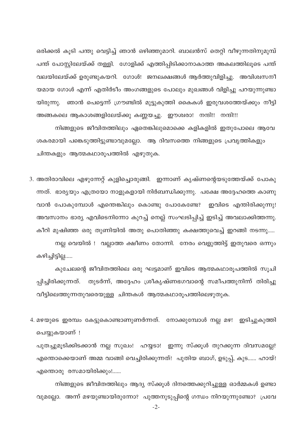ഒരിക്കൽ കൂടി പന്തു വെട്ടിച്ച് ഞാൻ ഒഴിഞ്ഞുമാറി. ബാലൻസ് തെറ്റി വീഴുന്നതിനുമുമ്പ് പന്ത് പോസ്റ്റിലേയ്ക്ക് തള്ളി. ഗോളിക്ക് എത്തിപ്പിടിക്കാനാകാത്ത അകലത്തിലൂടെ പന്ത് വലയിലേയ്ക്ക് ഉരുണ്ടുകയറി. ഗോൾ! ജനലക്ഷങ്ങൾ ആർത്തുവിളിച്ചു. അവിശ്വസനീ യമായ ഗോൾ എന്ന് എതിർടീം അംഗങ്ങളുടെ പോലും മുഖങ്ങൾ വിളിച്ചു പറയുന്നുണ്ടാ യിരുന്നു. ഞാൻ പെട്ടെന്ന് ഗ്രൗണ്ടിൽ മുട്ടുകുത്തി കൈകൾ ഇരുവശത്തേയ്ക്കും നീട്ടി അങ്ങകലെ ആകാശങ്ങളിലേയ്ക്കു കണ്ണയച്ചു. ഈശ്വരാ! നന്ദി!! നന്ദി!!!

നിങ്ങളുടെ ജീവിതത്തിലും ഏതെങ്കിലുമൊക്കെ കളികളിൽ ഇതുപോലെ ആവേ ശകരമായി പങ്കെടുത്തിട്ടുണ്ടാവുമല്ലോ. ആ ദിവസത്തെ നിങ്ങളുടെ പ്രവൃത്തികളും ചിന്തകളും ആത്മകഥാരൂപത്തിൽ എഴുതുക.

3. അതിരാവിലെ എഴുന്നേറ്റ് കുളിച്ചൊരുങ്ങി. ഇന്നാണ് കൃഷ്ണന്റെയടുത്തേയ്ക്ക് പോകു ന്നത്. ഭാര്യയും എത്രയോ നാളുകളായി നിർബന്ധിക്കുന്നു. പക്ഷേ അദ്ദേഹത്തെ കാണു വാൻ പോകുമ്പോൾ എന്തെങ്കിലും കൊണ്ടു പോകേണ്ടേ? ഇവിടെ എന്തിരിക്കുന്നു! അവസാനം ഭാര്യ എവിടെനിന്നോ കുറച്ച് നെല്ല് സംഘടിപ്പിച്ച് ഇടിച്ച് അവലാക്കിത്തന്നു. കീറി മുഷിഞ്ഞ ഒരു തുണിയിൽ അതു പൊതിഞ്ഞു കക്ഷത്തുവെച്ച് ഇറങ്ങി നടന്നു.....

നല്ല വെയിൽ ! വല്ലാത്ത ക്ഷീണം തോന്നി. നേരം വെളുത്തിട്ട് ഇതുവരെ ഒന്നും കഴിച്ചിട്ടില്ല.....

കുചേലന്റെ ജീവിതത്തിലെ ഒരു ഘട്ടമാണ് ഇവിടെ ആത്മകഥാരുപത്തിൽ സൂചി പ്പിച്ചിരിക്കുന്നത്. തുടർന്ന്, അദ്ദേഹം ശ്രീകൃഷ്ണഭഗവാന്റെ സമീപത്തുനിന്ന് തിരിച്ചു വീട്ടിലെത്തുന്നതുവരെയുള്ള ചിന്തകൾ ആത്മകഥാരൂപത്തിലെഴുതുക.

4. മഴയുടെ ഇരമ്പം കേട്ടുകൊണ്ടാണുണർന്നത്. നോക്കുമ്പോൾ നല്ല മഴ! ഇടിച്ചുകുത്തി പെയ്യുകയാണ് !

പുതച്ചുമൂടിക്കിടക്കാൻ നല്ല സുഖം! ഹയ്യടാ! ഇന്നു സ്ക്കൂൾ തുറക്കുന്ന ദിവസമല്ലേ? എന്തൊക്കെയാണ് അമ്മ വാങ്ങി വെച്ചിരിക്കുന്നത്! പുതിയ ബാഗ്, ഉടുപ്പ്, കുട...... ഹായ്! എന്തൊരു രസമായിരിക്കും!......

നിങ്ങളുടെ ജീവിതത്തിലും ആദ്യ സ്ക്കുൾ ദിനത്തെക്കുറിച്ചുള്ള ഓർമ്മകൾ ഉണ്ടാ വുമല്ലോ. അന്ന് മഴയുണ്ടായിരുന്നോ? പുത്തനുടുപ്പിന്റെ ഗന്ധം നിറയുന്നുണ്ടോ? പ്രവേ

 $-2-$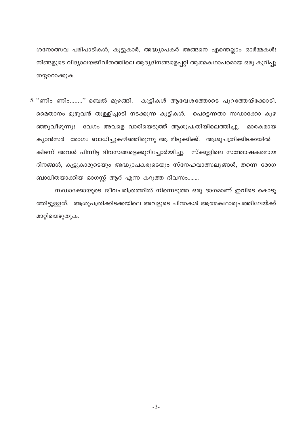ശനോത്സവ പരിപാടികൾ, കൂട്ടുകാർ, അദ്ധ്യാപകർ അങ്ങനെ എന്തെല്ലാം ഓർമ്മകൾ! നിങ്ങളുടെ വിദ്യാലയജീവിതത്തിലെ ആദ്യദിനങ്ങളെപ്പറ്റി ആത്മകഥാപരമായ ഒരു കുറിപ്പു തയ്യാറാക്കുക.

5. ''ണിം ണിം........'' ബെൽ മുഴങ്ങി. കുട്ടികൾ ആവേശത്തോടെ പുറത്തേയ്ക്കോടി. മൈതാനം മുഴുവൻ തുള്ളിച്ചാടി നടക്കുന്ന കുട്ടികൾ. പെട്ടെന്നതാ സഡാക്കോ കുഴ ഞ്ഞുവീഴുന്നു! വേഗം അവളെ വാരിയെടുത്ത് ആശുപത്രിയിലെത്തിച്ചു. മാരകമായ ക്യാൻസർ രോഗം ബാധിച്ചുകഴിഞ്ഞിരുന്നു ആ മിടുക്കിക്ക്. ആശുപത്രിക്കിടക്കയിൽ കിടന്ന് അവൾ പിന്നിട്ട ദിവസങ്ങളെക്കുറിച്ചോർമ്മിച്ചു. സ്ക്കൂളിലെ സന്തോഷകരമായ ദിനങ്ങൾ, കൂട്ടുകാരുടെയും അദ്ധ്യാപകരുടെയും സ്നേഹവാത്സല്യങ്ങൾ, തന്നെ രോഗ ബാധിതയാക്കിയ ഓഗസ്റ്റ് ആറ് എന്ന കറുത്ത ദിവസം........

സഡാക്കോയുടെ ജീവചരിത്രത്തിൽ നിന്നെടുത്ത ഒരു ഭാഗമാണ് ഇവിടെ കൊടു ത്തിട്ടുള്ളത്. ആശുപത്രിക്കിടക്കയിലെ അവളുടെ ചിന്തകൾ ആത്മകഥാരൂപത്തിലേയ്ക്ക് മാറ്റിയെഴുതുക.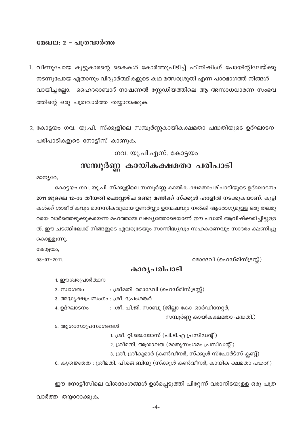#### മേഖല: 2 – പത്രവാർത്ത

- 1. വീണുപോയ കൂട്ടുകാരന്റെ കൈകൾ കോർത്തുപിടിച്ച് ഫിനിഷിംഗ് പോയിന്റിലേയ്ക്കു നടന്നുപോയ ഏതാനും വിദ്യാർത്ഥികളുടെ കഥ മത്സരശ്രുതി എന്ന പാഠഭാഗത്ത് നിങ്ങൾ വായിച്ചല്ലോ. ഹൈദരാബാദ് നാഷണൽ സ്റ്റേഡിയത്തിലെ ആ അസാധധാരണ സംഭവ ത്തിന്റെ ഒരു പത്രവാർത്ത തയ്യാറാക്കുക.
- 2. കോട്ടയം ഗവ. യു.പി. സ്ക്കൂളിലെ സമ്പൂർണ്ണകായികക്ഷമതാ പദ്ധതിയുടെ ഉദ്ഘാടന പരിപാടികളുടെ നോട്ടീസ് കാണുക.

ഗവ. യു.പി.എസ്. കോട്ടയം

# സമ്പൂർണ്ണ കായികക്ഷമതാ പരിപാടി

മാന്യരേ,

കോട്ടയം ഗവ. യു.പി. സ്ക്കുളിലെ സമ്പുർണ്ണ കായിക ക്ഷമതാപരിപാടിയുടെ ഉദ്ഘാടനം 2011 ജൂലൈ 12–ാം തീയതി ചൊവ്വാഴ്ച രണ്ടു മണിക്ക് സ്ക്കൂൾ ഹാളിൽ നടക്കുകയാണ്. കുട്ടി കൾക്ക് ശാരീരികവും മാനസികവുമായ ഉണർവ്വും ഉന്മേഷവും നൽകി ആരോഗ്യമുള്ള ഒരു തലമു റയെ വാർത്തെടുക്കുകയെന്ന മഹത്തായ ലക്ഷ്യത്തോടെയാണ് ഈ പദ്ധതി ആവിഷ്ക്കരിച്ചിട്ടുള്ള ത്. ഈ ചടങ്ങിലേക്ക് നിങ്ങളുടെ ഏവരുടേയും സാന്നിദ്ധ്യവും സഹകരണവും സാദരം ക്ഷണിച്ചു കൊള്ളുന്നു.

കോട്ടയം,

 $08 - 07 - 2011.$ 

## രമാദേവി (ഹെഡ്മിസ്ട്രസ്സ്)

# കാരൃപരിപാടി

1. ഈശ്വരപ്രാർത്ഥന

: ശ്രീമതി. രമാദേവി (ഹെഡ്മിസ്ട്രസ്സ്) 2. സ്വാഗതം

3. അദ്ധ്യക്ഷപ്രസംഗം : ശ്രീ. പ്രേംശങ്കർ

4. ഉദ്ഘാടനം : ശ്രീ. പി.ജി. സാബു (ജില്ലാ കോ-ഓർഡിനേറ്റർ,

സമ്പൂർണ്ണ കായികക്ഷമതാ പദ്ധതി.)

5. ആശംസാപ്രസംഗങ്ങൾ

1. ശ്രീ. റ്റി.ജെ.ജോസ് (പി.ടി.എ പ്രസിഡന്റ്)

2. ശ്രീമതി. ആശാലത (മാതൃസംഗമം പ്രസിഡന്റ്)

3. ശ്രീ. ശ്രീകുമാർ (കൺവീനർ, സ്ക്കൂൾ സ്പോർട്സ് ക്ലബ്ബ്)

6. കൃതജ്ഞത : ശ്രീമതി. പി.ജെ.ബിന്ദു (സ്ക്കുൾ കൺവീനർ, കായിക ക്ഷമതാ പദ്ധതി)

ഈ നോട്ടീസിലെ വിശദാംശങ്ങൾ ഉൾപ്പെടുത്തി പിറ്റേന്ന് വരാനിടയുള്ള ഒരു പത്ര വാർത്ത തയ്യാറാക്കുക.

 $-4-$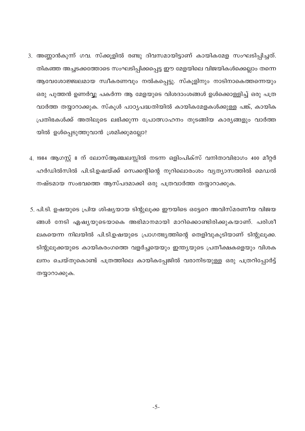- 3. അണ്ണാൻകുന്ന് ഗവ. സ്ക്കൂളിൽ രണ്ടു ദിവസമായിട്ടാണ് കായികമേള സംഘടിപ്പിച്ചത്. തികഞ്ഞ അച്ചടക്കത്തോടെ സംഘടിപ്പിക്കപ്പെട്ട ഈ മേളയിലെ വിജയികൾക്കെല്ലാം തന്നെ ആവേശോജ്ജ്വലമായ സ്വീകരണവും നൽകപ്പെട്ടു. സ്കൂളിനും നാടിനാകെത്തന്നെയും ഒരു പുത്തൻ ഉണർവ്വു പകർന്ന ആ മേളയുടെ വിശദാംശങ്ങൾ ഉൾക്കൊള്ളിച്ച് ഒരു പത്ര വാർത്ത തയ്യാറാക്കുക. സ്കൂൾ പാഠ്യപദ്ധതിയിൽ കായികമേളകൾക്കുള്ള പങ്ക്, കായിക പ്രതിഭകൾക്ക് അതിലൂടെ ലഭിക്കുന്ന പ്രോത്സാഹനം തുടങ്ങിയ കാര്യങ്ങളും വാർത്ത യിൽ ഉൾപ്പെടുത്തുവാൻ ശ്രമിക്കുമല്ലോ?
- 4. 1984 ആഗസ്റ്റ് 8 ന് ലോസ്ആഞ്ചലസ്സിൽ നടന്ന ഒളിംപിക്സ് വനിതാവിഭാഗം 400 മീറ്റർ ഹർഡിൽസിൽ പി.ടി.ഉഷയ്ക്ക് സെക്കന്റിന്റെ നുറിലൊരംശം വ്യത്യാസത്തിൽ മെഡൽ നഷ്ടമായ സംഭവത്തെ ആസ്പദമാക്കി ഒരു പത്രവാർത്ത തയ്യാറാക്കുക.
- 5. പി.ടി. ഉഷയുടെ പ്രിയ ശിഷ്യയായ ടിന്റുലൂക്ക ഈയിടെ ഒട്ടേറെ അവിസ്മരണീയ വിജയ ങ്ങൾ നേടി ഏഷ്യയുടെയാകെ അഭിമാനമായി മാറിക്കൊണ്ടിരിക്കുകയാണ്. പരിശീ ലകയെന്ന നിലയിൽ പി.ടി.ഉഷയുടെ പ്രാഗത്ഭ്യത്തിന്റെ തെളിവുകൂടിയാണ് ടിന്റുലൂക്ക. ടിന്റുലൂക്കയുടെ കായികരംഗത്തെ വളർച്ചയെയും ഇന്ത്യയുടെ പ്രതീക്ഷകളെയും വിശക ലനം ചെയ്തുകൊണ്ട് പത്രത്തിലെ കായികപ്പേജിൽ വരാനിടയുള്ള ഒരു പത്രറിപ്പോർട്ട് തയ്യാറാക്കുക.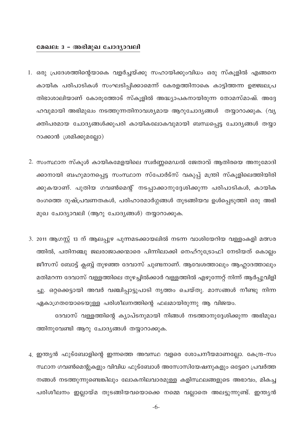#### മേഖല: 3 - അഭിമുഖ ചോദ്യാവലി

- 1. ഒരു പ്രദേശത്തിന്റെയാകെ വളർച്ചയ്ക്കു സഹായിക്കുംവിധം ഒരു സ്കൂളിൽ എങ്ങനെ കായിക പരിപാടികൾ സംഘടിപ്പിക്കാമെന്ന് കേരളത്തിനാകെ കാട്ടിത്തന്ന ഉജ്ജ്വലപ്ര തിഭാശാലിയാണ് കോരുത്തോട് സ്കൂളിൽ അദ്ധ്യാപകനായിരുന്ന തോമസ്മാഷ്. അദ്ദേ ഹവുമായി അഭിമുഖം നടത്തുന്നതിനാവശ്യമായ ആറുചോദ്യങ്ങൾ തയ്യാറാക്കുക. (വ്യ ക്തിപരമായ ചോദ്യങ്ങൾക്കുപരി കായികലോകവുമായി ബന്ധപ്പെട്ട ചോദ്യങ്ങൾ തയ്യാ റാക്കാൻ ശ്രമിക്കുമല്ലോ)
- 2. സംസ്ഥാന സ്കൂൾ കായികമേളയിലെ സ്വർണ്ണമെഡൽ ജേതാവ് ആതിരയെ അനുമോദി ക്കാനായി ബഹുമാനപ്പെട്ട സംസ്ഥാന സ്പോർട്സ് വകുപ്പ് മന്ത്രി സ്കൂളിലെത്തിയിരി ക്കുകയാണ്. പുതിയ ഗവൺമെന്റ് നടപ്പാക്കാനുദ്ദേശിക്കുന്ന പരിപാടികൾ, കായിക രംഗത്തെ ദുഷ്പ്രവണതകൾ, പരിഹാരമാർഗ്ഗങ്ങൾ തുടങ്ങിയവ ഉൾപ്പെടുത്തി ഒരു അഭി മുഖ ചോദ്യാവലി (ആറു ചോദ്യങ്ങൾ) തയ്യാറാക്കുക.
- 3. 2011 ആഗസ്റ്റ് 13 ന് ആലപ്പുഴ പുന്നമടക്കായലിൽ നടന്ന വാശിയേറിയ വള്ളംകളി മത്സര ത്തിൽ, പതിനഞ്ചു ജലരാജാക്കന്മാരെ പിന്നിലാക്കി നെഹ്റുട്രോഫി നേടിയത് കൊല്ലം ജീസസ് ബോട്ട് ക്ലബ്ബ് തുഴഞ്ഞ ദേവാസ് ചുണ്ടനാണ്. ആവേശത്താലും ആഹ്ലാദത്താലും മതിമറന്ന ദേവാസ് വള്ളത്തിലെ തുഴച്ചിൽക്കാർ വള്ളത്തിൽ എഴുന്നേറ്റ് നിന്ന് ആർപ്പുവിളി ച്ചു. ഒറ്റക്കെട്ടായി അവർ വഞ്ചിപ്പാട്ടുപാടി നൃത്തം ചെയ്തു. മാസങ്ങൾ നീണ്ടു നിന്ന ഏകാഗ്രതയോടെയുള്ള പരിശീലനത്തിന്റെ ഫലമായിരുന്നു ആ വിജയം.

ദേവാസ് വള്ളത്തിന്റെ ക്യാപ്ടനുമായി നിങ്ങൾ നടത്താനുദ്ദേശിക്കുന്ന അഭിമുഖ ത്തിനുവേണ്ടി ആറു ചോദ്യങ്ങൾ തയ്യാറാക്കുക.

4. ഇന്ത്യൻ ഫുട്ബോളിന്റെ ഇന്നത്തെ അവസ്ഥ വളരെ ശോചനീയമാണല്ലോ. കേന്ദ്ര-സം സ്ഥാന ഗവൺമെന്റുകളും വിവിധ ഫുട്ബോൾ അസോസിയേഷനുകളും ഒട്ടേറെ പ്രവർത്ത നങ്ങൾ നടത്തുന്നുണ്ടെങ്കിലും ലോകനിലവാരമുള്ള കളിസ്ഥലങ്ങളുടെ അഭാവം, മികച്ച പരിശീലനം ഇല്ലായ്മ തുടങ്ങിയവയൊക്കെ നമ്മെ വല്ലാതെ അലട്ടുന്നുണ്ട്. ഇന്ത്യൻ

 $-6-$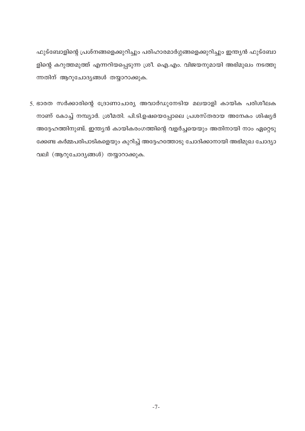ഫുട്ബോളിന്റെ പ്രശ്നങ്ങളെക്കുറിച്ചും പരിഹാരമാർഗ്ഗങ്ങളെക്കുറിച്ചും ഇന്ത്യൻ ഫുട്ബോ ളിന്റെ കറുത്തമുത്ത് എന്നറിയപ്പെടുന്ന ശ്രീ. ഐ.എം. വിജയനുമായി അഭിമുഖം നടത്തു ന്നതിന് ആറുചോദ്യങ്ങൾ തയ്യാറാക്കുക.

5. ഭാരത സർക്കാരിന്റെ ദ്രോണാചാര്യ അവാർഡുനേടിയ മലയാളി കായിക പരിശീലക നാണ് കോച്ച് നമ്പ്യാർ. ശ്രീമതി. പി.ടി.ഉഷയെപ്പോലെ പ്രശസ്തരായ അനേകം ശിഷ്യർ അദ്ദേഹത്തിനുണ്ട്. ഇന്ത്യൻ കായികരംഗത്തിന്റെ വളർച്ചയെയും അതിനായി നാം ഏറ്റെടു ക്കേണ്ട കർമ്മപരിപാടികളെയും കുറിച്ച് അദ്ദേഹത്തോടു ചോദിക്കാനായി അഭിമുഖ ചോദ്യാ വലി (ആറുചോദ്യങ്ങൾ) തയ്യാറാക്കുക.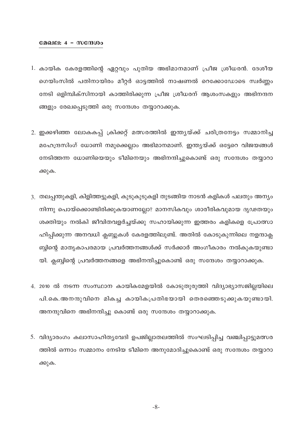#### മേഖല: 4 - സന്ദേശം

- 1. കായിക കേരളത്തിന്റെ ഏറ്റവും പുതിയ അഭിമാനമാണ് പ്രീജ ശ്രീധരൻ. ദേശീയ ഗെയിംസിൽ പതിനായിരം മീറ്റർ ഓട്ടത്തിൽ നാഷണൽ റെക്കോഡോടെ സ്വർണ്ണം നേടി ഒളിമ്പിക്സിനായി കാത്തിരിക്കുന്ന പ്രീജ ശ്രീധരന് ആശംസകളും അഭിനന്ദന ങ്ങളും രേഖപ്പെടുത്തി ഒരു സന്ദേശം തയ്യാറാക്കുക.
- 2. ഇക്കഴിഞ്ഞ ലോകകപ്പ് ക്രിക്കറ്റ് മത്സരത്തിൽ ഇന്ത്യയ്ക്ക് ചരിത്രനേട്ടം സമ്മാനിച്ച മഹേന്ദ്രസിംഗ് ധോണി നമുക്കെല്ലാം അഭിമാനമാണ്. ഇന്ത്യയ്ക്ക് ഒട്ടേറെ വിജയങ്ങൾ നേടിത്തന്ന ധോണിയെയും ടീമിനെയും അഭിനന്ദിച്ചുകൊണ്ട് ഒരു സന്ദേശം തയ്യാറാ ക്കുക.
- 3. തലപ്പന്തുകളി, കിളിത്തട്ടുകളി, കുടുകുടുകളി തുടങ്ങിയ നാടൻ കളികൾ പലതും അന്യം നിന്നു പൊയ്ക്കൊണ്ടിരിക്കുകയാണല്ലോ? മാനസികവും ശാരീരികവുമായ ദൃഢതയും ശക്തിയും നൽകി ജീവിതവളർച്ചയ്ക്കു സഹായിക്കുന്ന ഇത്തരം കളികളെ പ്രോത്സാ ഹിപ്പിക്കുന്ന അനവധി ക്ലബ്ബുകൾ കേരളത്തിലുണ്ട്. അതിൽ കോടുകുന്നിലെ നളന്ദാക്ല ബ്ബിന്റെ മാതൃകാപരമായ പ്രവർത്തനങ്ങൾക്ക് സർക്കാർ അംഗീകാരം നൽകുകയുണ്ടാ യി. ക്ലബ്ബിന്റെ പ്രവർത്തനങ്ങളെ അഭിനന്ദിച്ചുകൊണ്ട് ഒരു സന്ദേശം തയ്യാറാക്കുക.
- 4. 2010 ൽ നടന്ന സംസ്ഥാന കായികമേളയിൽ കോടുതുരുത്തി വിദ്യാഭ്യാസജില്ലയിലെ പി.കെ.അനന്ദുവിനെ മികച്ച കായികപ്രതിഭയായി തെരഞ്ഞെടുക്കുകയുണ്ടായി. അനന്ദുവിനെ അഭിനന്ദിച്ചു കൊണ്ട് ഒരു സന്ദേശം തയ്യാറാക്കുക.
- 5. വിദ്യാരംഗം കലാസാഹിത്യവേദി ഉപജില്ലാതലത്തിൽ സംഘടിപ്പിച്ച വഞ്ചിപ്പാട്ടുമത്സര ത്തിൽ ഒന്നാം സമ്മാനം നേടിയ ടീമിനെ അനുമോദിച്ചുകൊണ്ട് ഒരു സന്ദേശം തയ്യാറാ ക്കുക.

 $-8-$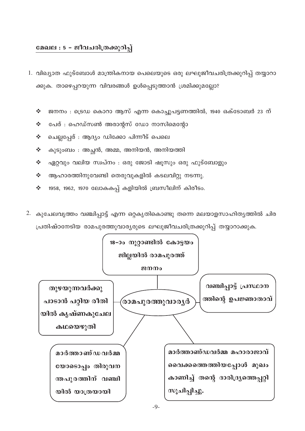## മേഖല : 5 - ജീവചരിത്രക്കുറിപ്പ്

- 1. വിഖ്യാത ഫുട്ബോൾ മാന്ത്രികനായ പെലെയുടെ ഒരു ലഘുജീവചരിത്രക്കുറിപ്പ് തയ്യാറാ ക്കുക. താഴെപ്പറയുന്ന വിവരങ്ങൾ ഉൾപ്പെടുത്താൻ ശ്രമിക്കുമല്ലോ?
	- ജനനം : ട്രെഡ കൊറാ ആസ് എന്ന കൊച്ചുപട്ടണത്തിൽ, 1940 ഒക്ടോബർ 23 ന്  $\frac{1}{2}$
	- പേര് : ഹെഡ്സൺ അരാന്റസ് ഡോ നാസിമെന്റോ  $\mathcal{L}(\mathbf{r})$  .
	- ചെല്ലപ്പേര് : ആദ്യം ഡിക്കോ പിന്നീട് പെലെ  $\frac{1}{2}$  ,  $\frac{1}{2}$
	- കുടുംബം : അച്ഛൻ, അമ്മ, അനിയൻ, അനിയത്തി  $\mathcal{L}(\mathbf{r})$
	- ഏറ്റവും വലിയ സ്വപ്നം : ഒരു ജോടി ഷൂസും ഒരു ഫുട്ബോളും  $\mathcal{L}(\mathbf{r})$  .
	- ആഹാരത്തിനുവേണ്ടി തെരുവുകളിൽ കടലവിറ്റു നടന്നു.  $\mathcal{L}(\mathbf{r})$  .
	- 1958, 1962, 1970 ലോകകപ്പ് കളിയിൽ ബ്രസീലിന് കിരീടം.  $\mathcal{L}(\mathbf{r})$  .
- 2. കുചേലവൃത്തം വഞ്ചിപ്പാട്ട് എന്ന ഒറ്റകൃതികൊണ്ടു തന്നെ മലയാളസാഹിത്യത്തിൽ ചിര പ്രതിഷ്ഠനേടിയ രാമപുരത്തുവാര്യരുടെ ലഘുജീവചരിത്രക്കുറിപ്പ് തയ്യാറാക്കുക.

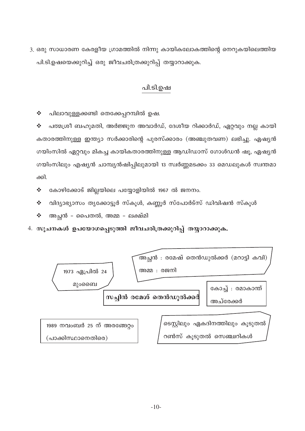3. ഒരു സാധാരണ കേരളീയ ഗ്രാമത്തിൽ നിന്നു കായികലോകത്തിന്റെ നെറുകയിലെത്തിയ പി.ടി.ഉഷയെക്കുറിച്ച് ഒരു ജീവചരിത്രക്കുറിപ്പ് തയ്യാറാക്കുക.

# പി.ടി.ഉഷ

 $\frac{1}{2}$ പിലാവുള്ളക്കണ്ടി തെക്കേപ്പറമ്പിൽ ഉഷ.

പത്മശ്രീ ബഹുമതി, അർജ്ജുന അവാർഡ്, ദേശീയ റിക്കാർഡ്, ഏറ്റവും നല്ല കായി  $\frac{1}{2}$ കതാരത്തിനുള്ള ഇന്ത്യാ സർക്കാരിന്റെ പുരസ്ക്കാരം (അഞ്ചുതവണ) ലഭിച്ചു. ഏഷ്യൻ ഗയിംസിൽ ഏറ്റവും മികച്ച കായികതാരത്തിനുള്ള ആഡിഡാസ് ഗോൾഡൻ ഷൂ, ഏഷ്യൻ ഗയിംസിലും എഷ്യൻ ചാമ്പ്യൻഷിപ്പിലുമായി 13 സ്വർണ്ണമടക്കം 33 മെഡലുകൾ സ്വന്തമാ ക്കി.

 $\frac{1}{2}$ കോഴിക്കോട് ജില്ലയിലെ പയ്യോളിയിൽ 1967 ൽ ജനനം.

- വിദ്യാഭ്യാസം തൃക്കോട്ടൂർ സ്കൂൾ, കണ്ണൂർ സ്പോർട്സ് ഡിവിഷൻ സ്കൂൾ ❖
- അച്ഛൻ പൈതൽ, അമ്മ ലക്ഷ്മി  $\frac{1}{2}$
- 4. സൂചനകൾ ഉപയോഗപ്പെടുത്തി ജീവചരിത്രക്കുറിപ്പ് തയ്യാറാക്കുക.

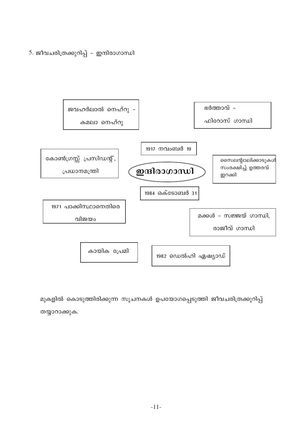5. ജീവചരിത്രക്കുറിപ്പ് - ഇന്ദിരാഗാന്ധി



മുകളിൽ കൊടുത്തിരിക്കുന്ന സൂചനകൾ ഉപയോഗപ്പെടുത്തി ജീവചരിത്രക്കുറിപ്പ് തയ്യാറാക്കുക.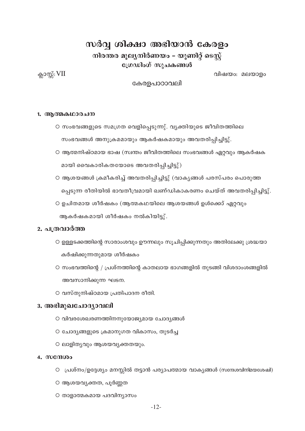# സർവ്വ ശിക്ഷാ അഭിയാൻ കേരളം

നിരന്തര മൂല്യനിർണയം – യൂണിറ്റ് ടെസ്റ്റ് ഗ്രേഡിംഗ് സുചകങ്ങൾ

ക്ലാസ്സ്:  $VII$ 

വിഷയം: മലയാളം

കേരളപാഠാവലി

#### 1. ആത്മകഥാരചന

- സംഭവങ്ങളുടെ സമഗ്രത വെളിപ്പെടുന്നു്. വ്യക്തിയുടെ ജീവിതത്തിലെ സംഭവങ്ങൾ അനുക്രമമായും ആകർഷകമായും അവതരിപ്പിച്ചിട്ടു്.
- O ആത്മനിഷ്ഠമായ ഭാഷ (സ്വന്തം ജീവിതത്തിലെ സംഭവങ്ങൾ ഏറ്റവും ആകർഷക മായി വൈകാരികതയോടെ അവതരിപിച്ചിട്ടു്)
- ആശയങ്ങൾ ക്രമീകരിച്ച് അവതരിപ്പിച്ചിട്ടു് (വാകൃങ്ങൾ പരസ്പരം പൊരുത്ത പ്പെടുന്ന രീതിയിൽ ഭാവതീവ്രമായി ഖണ്ഡികാകരണം ചെയ്ത് അവതരിപ്പിച്ചിട്ടു്.
- ഉചിതമായ ശീർഷകം (ആത്മകഥയിലെ ആശയങ്ങൾ ഉൾക്കൊ് ഏറ്റവും ആകർഷകമായി ശീർഷകം നൽകിയിട്ടു്.

### 2. പത്രവാർത്ത

- O ഉള്ളടക്കത്തിന്റെ സാരാംശവും ഊന്നലും സൂചിപ്പിക്കുന്നതും അതിലേക്കു ശ്രദ്ധയാ കർഷിക്കുന്നതുമായ ശീർഷകം
- O സംഭവത്തിന്റെ / പ്രശ്നത്തിന്റെ കാതലായ ഭാഗങ്ങളിൽ തുടങ്ങി വിശദാംശങ്ങളിൽ അവസാനിക്കുന്ന ഘടന.
- വസ്തുനിഷ്ഠമായ പ്രതിപാദന രീതി.

## 3. അഭിമുഖചോദ്യാവലി

- O വിവരശേഖരണത്തിനനുയോജ്യമായ ചോദ്യങ്ങൾ
- O ചോദ്യങ്ങളുടെ ക്രമാനുഗത വികാസം, തുടർച്ച
- O ലാളിതൃവും ആശയവ്യക്തതയും.

#### 4. mango

- O പ്രശ്നം/ഉദ്ദേശ്യം മനസ്സിൽ തട്ടാൻ പര്യാപത്മായ വാക്യങ്ങൾ (സന്ദേശവിനിമയശേഷി)
- O ആശയവ്യക്തത, പൂർണ്ണത
- O താളാത്മകമായ പദവിന്യാസം